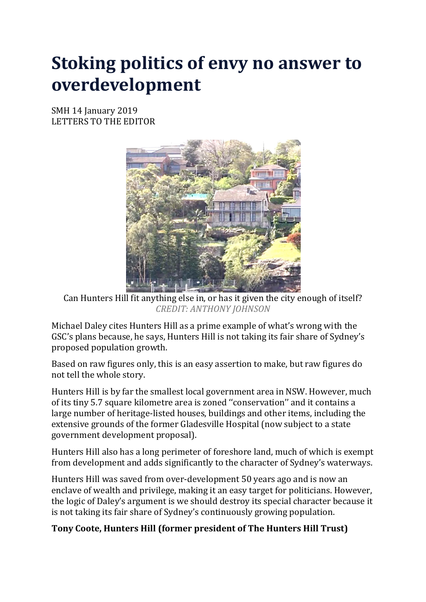# **Stoking politics of envy no answer to overdevelopment**

SMH 14 January 2019 LETTERS TO THE EDITOR



Can Hunters Hill fit anything else in, or has it given the city enough of itself? *CREDIT: ANTHONY JOHNSON*

Michael Daley cites Hunters Hill as a prime example of what's wrong with the GSC's plans because, he says, Hunters Hill is not taking its fair share of Sydney's proposed population growth.

Based on raw figures only, this is an easy assertion to make, but raw figures do not tell the whole story.

Hunters Hill is by far the smallest local government area in NSW. However, much of its tiny 5.7 square kilometre area is zoned ''conservation'' and it contains a large number of heritage-listed houses, buildings and other items, including the extensive grounds of the former Gladesville Hospital (now subject to a state government development proposal).

Hunters Hill also has a long perimeter of foreshore land, much of which is exempt from development and adds significantly to the character of Sydney's waterways.

Hunters Hill was saved from over-development 50 years ago and is now an enclave of wealth and privilege, making it an easy target for politicians. However, the logic of Daley's argument is we should destroy its special character because it is not taking its fair share of Sydney's continuously growing population.

## **Tony Coote, Hunters Hill (former president of The Hunters Hill Trust)**